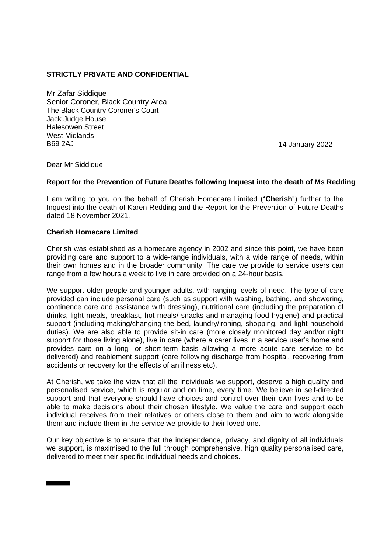# **STRICTLY PRIVATE AND CONFIDENTIAL**

Mr Zafar Siddique Senior Coroner, Black Country Area The Black Country Coroner's Court Jack Judge House Halesowen Street West Midlands B69 2AJ 14 January 2022

Dear Mr Siddique

#### **Report for the Prevention of Future Deaths following Inquest into the death of Ms Redding**

I am writing to you on the behalf of Cherish Homecare Limited ("**Cherish**") further to the Inquest into the death of Karen Redding and the Report for the Prevention of Future Deaths dated 18 November 2021.

#### **Cherish Homecare Limited**

Cherish was established as a homecare agency in 2002 and since this point, we have been providing care and support to a wide-range individuals, with a wide range of needs, within their own homes and in the broader community. The care we provide to service users can range from a few hours a week to live in care provided on a 24-hour basis.

We support older people and younger adults, with ranging levels of need. The type of care provided can include personal care (such as support with washing, bathing, and showering, continence care and assistance with dressing), nutritional care (including the preparation of drinks, light meals, breakfast, hot meals/ snacks and managing food hygiene) and practical support (including making/changing the bed, laundry/ironing, shopping, and light household duties). We are also able to provide sit-in care (more closely monitored day and/or night support for those living alone), live in care (where a carer lives in a service user's home and provides care on a long- or short-term basis allowing a more acute care service to be delivered) and reablement support (care following discharge from hospital, recovering from accidents or recovery for the effects of an illness etc).

At Cherish, we take the view that all the individuals we support, deserve a high quality and personalised service, which is regular and on time, every time. We believe in self-directed support and that everyone should have choices and control over their own lives and to be able to make decisions about their chosen lifestyle. We value the care and support each individual receives from their relatives or others close to them and aim to work alongside them and include them in the service we provide to their loved one.

Our key objective is to ensure that the independence, privacy, and dignity of all individuals we support, is maximised to the full through comprehensive, high quality personalised care, delivered to meet their specific individual needs and choices.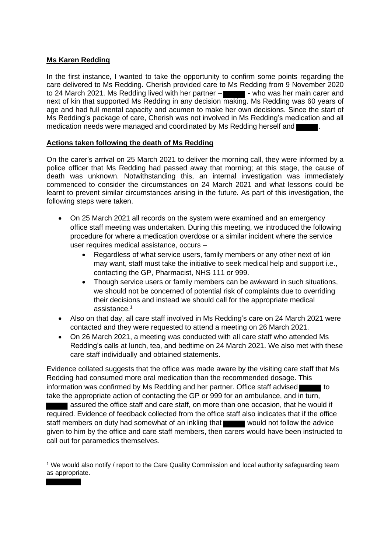# **Ms Karen Redding**

In the first instance, I wanted to take the opportunity to confirm some points regarding the care delivered to Ms Redding. Cherish provided care to Ms Redding from 9 November 2020 to 24 March 2021. Ms Redding lived with her partner  $-\blacksquare$  - who was her main carer and next of kin that supported Ms Redding in any decision making. Ms Redding was 60 years of age and had full mental capacity and acumen to make her own decisions. Since the start of Ms Redding's package of care, Cherish was not involved in Ms Redding's medication and all medication needs were managed and coordinated by Ms Redding herself and

### **Actions taken following the death of Ms Redding**

On the carer's arrival on 25 March 2021 to deliver the morning call, they were informed by a police officer that Ms Redding had passed away that morning; at this stage, the cause of death was unknown. Notwithstanding this, an internal investigation was immediately commenced to consider the circumstances on 24 March 2021 and what lessons could be learnt to prevent similar circumstances arising in the future. As part of this investigation, the following steps were taken.

- On 25 March 2021 all records on the system were examined and an emergency office staff meeting was undertaken. During this meeting, we introduced the following procedure for where a medication overdose or a similar incident where the service user requires medical assistance, occurs –
	- Regardless of what service users, family members or any other next of kin may want, staff must take the initiative to seek medical help and support i.e., contacting the GP, Pharmacist, NHS 111 or 999.
	- Though service users or family members can be awkward in such situations, we should not be concerned of potential risk of complaints due to overriding their decisions and instead we should call for the appropriate medical assistance. 1
- Also on that day, all care staff involved in Ms Redding's care on 24 March 2021 were contacted and they were requested to attend a meeting on 26 March 2021.
- On 26 March 2021, a meeting was conducted with all care staff who attended Ms Redding's calls at lunch, tea, and bedtime on 24 March 2021. We also met with these care staff individually and obtained statements.

Evidence collated suggests that the office was made aware by the visiting care staff that Ms Redding had consumed more oral medication than the recommended dosage. This information was confirmed by Ms Redding and her partner. Office staff advised  $\blacksquare$  to take the appropriate action of contacting the GP or 999 for an ambulance, and in turn,

sasured the office staff and care staff, on more than one occasion, that he would if required. Evidence of feedback collected from the office staff also indicates that if the office staff members on duty had somewhat of an inkling that would not follow the advice given to him by the office and care staff members, then carers would have been instructed to call out for paramedics themselves.

<sup>1</sup> We would also notify / report to the Care Quality Commission and local authority safeguarding team as appropriate.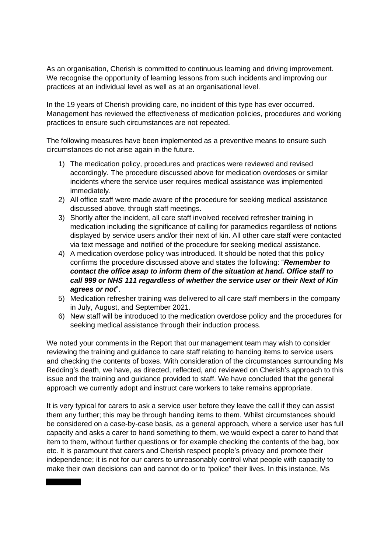As an organisation, Cherish is committed to continuous learning and driving improvement. We recognise the opportunity of learning lessons from such incidents and improving our practices at an individual level as well as at an organisational level.

In the 19 years of Cherish providing care, no incident of this type has ever occurred. Management has reviewed the effectiveness of medication policies, procedures and working practices to ensure such circumstances are not repeated.

The following measures have been implemented as a preventive means to ensure such circumstances do not arise again in the future.

- 1) The medication policy, procedures and practices were reviewed and revised accordingly. The procedure discussed above for medication overdoses or similar incidents where the service user requires medical assistance was implemented immediately.
- 2) All office staff were made aware of the procedure for seeking medical assistance discussed above, through staff meetings.
- 3) Shortly after the incident, all care staff involved received refresher training in medication including the significance of calling for paramedics regardless of notions displayed by service users and/or their next of kin. All other care staff were contacted via text message and notified of the procedure for seeking medical assistance.
- 4) A medication overdose policy was introduced. It should be noted that this policy confirms the procedure discussed above and states the following: "*Remember to contact the office asap to inform them of the situation at hand. Office staff to call 999 or NHS 111 regardless of whether the service user or their Next of Kin agrees or not*".
- 5) Medication refresher training was delivered to all care staff members in the company in July, August, and September 2021.
- 6) New staff will be introduced to the medication overdose policy and the procedures for seeking medical assistance through their induction process.

We noted your comments in the Report that our management team may wish to consider reviewing the training and guidance to care staff relating to handing items to service users and checking the contents of boxes. With consideration of the circumstances surrounding Ms Redding's death, we have, as directed, reflected, and reviewed on Cherish's approach to this issue and the training and guidance provided to staff. We have concluded that the general approach we currently adopt and instruct care workers to take remains appropriate.

It is very typical for carers to ask a service user before they leave the call if they can assist them any further; this may be through handing items to them. Whilst circumstances should be considered on a case-by-case basis, as a general approach, where a service user has full capacity and asks a carer to hand something to them, we would expect a carer to hand that item to them, without further questions or for example checking the contents of the bag, box etc. It is paramount that carers and Cherish respect people's privacy and promote their independence; it is not for our carers to unreasonably control what people with capacity to make their own decisions can and cannot do or to "police" their lives. In this instance, Ms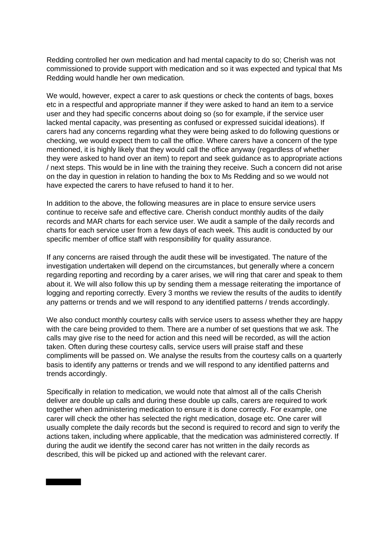Redding controlled her own medication and had mental capacity to do so; Cherish was not commissioned to provide support with medication and so it was expected and typical that Ms Redding would handle her own medication.

We would, however, expect a carer to ask questions or check the contents of bags, boxes etc in a respectful and appropriate manner if they were asked to hand an item to a service user and they had specific concerns about doing so (so for example, if the service user lacked mental capacity, was presenting as confused or expressed suicidal ideations). If carers had any concerns regarding what they were being asked to do following questions or checking, we would expect them to call the office. Where carers have a concern of the type mentioned, it is highly likely that they would call the office anyway (regardless of whether they were asked to hand over an item) to report and seek guidance as to appropriate actions / next steps. This would be in line with the training they receive. Such a concern did not arise on the day in question in relation to handing the box to Ms Redding and so we would not have expected the carers to have refused to hand it to her.

In addition to the above, the following measures are in place to ensure service users continue to receive safe and effective care. Cherish conduct monthly audits of the daily records and MAR charts for each service user. We audit a sample of the daily records and charts for each service user from a few days of each week. This audit is conducted by our specific member of office staff with responsibility for quality assurance.

If any concerns are raised through the audit these will be investigated. The nature of the investigation undertaken will depend on the circumstances, but generally where a concern regarding reporting and recording by a carer arises, we will ring that carer and speak to them about it. We will also follow this up by sending them a message reiterating the importance of logging and reporting correctly. Every 3 months we review the results of the audits to identify any patterns or trends and we will respond to any identified patterns / trends accordingly.

We also conduct monthly courtesy calls with service users to assess whether they are happy with the care being provided to them. There are a number of set questions that we ask. The calls may give rise to the need for action and this need will be recorded, as will the action taken. Often during these courtesy calls, service users will praise staff and these compliments will be passed on. We analyse the results from the courtesy calls on a quarterly basis to identify any patterns or trends and we will respond to any identified patterns and trends accordingly.

Specifically in relation to medication, we would note that almost all of the calls Cherish deliver are double up calls and during these double up calls, carers are required to work together when administering medication to ensure it is done correctly. For example, one carer will check the other has selected the right medication, dosage etc. One carer will usually complete the daily records but the second is required to record and sign to verify the actions taken, including where applicable, that the medication was administered correctly. If during the audit we identify the second carer has not written in the daily records as described, this will be picked up and actioned with the relevant carer.